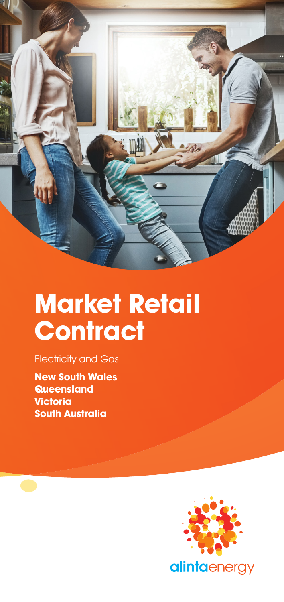

# **Market Retail Contract**

Electricity and Gas

**New South Wales Queensland Victoria South Australia**

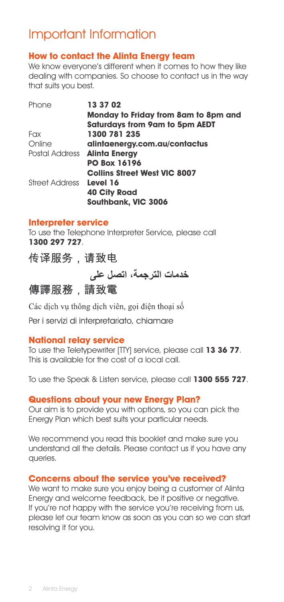# Important Information

# **How to contact the Alinta Energy team**

We know everyone's different when it comes to how they like dealing with companies. So choose to contact us in the way that suits you best.

| Phone                   | 13 37 02                              |
|-------------------------|---------------------------------------|
|                         | Monday to Friday from 8am to 8pm and  |
|                         | <b>Saturdays from 9am to 5pm AEDT</b> |
| Fax                     | 1300 781 235                          |
| Online                  | alintaenergy.com.au/contactus         |
|                         | Postal Address <b>Alinta Energy</b>   |
|                         | <b>PO Box 16196</b>                   |
|                         | <b>Collins Street West VIC 8007</b>   |
| Street Address Level 16 |                                       |
|                         | <b>40 City Road</b>                   |
|                         | Southbank, VIC 3006                   |

#### **Interpreter service**

To use the Telephone Interpreter Service, please call **1300 297 727**.

传译服务,请致电

خدمات الترجمة، اتصل على

傳譯服務,請致電

Các dịch vụ thông dịch viên, gọi điện thoại số

Per i servizi di interpretariato, chiamare

#### **National relay service**

To use the Teletypewriter [TTY] service, please call **13 36 77**. This is available for the cost of a local call.

To use the Speak & Listen service, please call **1300 555 727**.

#### **Questions about your new Energy Plan?**

Our aim is to provide you with options, so you can pick the Energy Plan which best suits your particular needs.

We recommend you read this booklet and make sure you understand all the details. Please contact us if you have any queries.

#### **Concerns about the service you've received?**

We want to make sure you enjoy being a customer of Alinta Energy and welcome feedback, be it positive or negative. If you're not happy with the service you're receiving from us, please let our team know as soon as you can so we can start resolving it for you.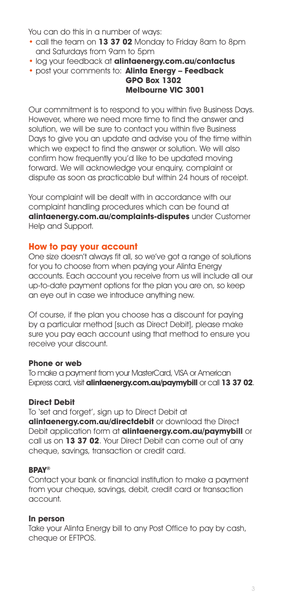You can do this in a number of ways:

- call the team on **13 37 02** Monday to Friday 8am to 8pm and Saturdays from 9am to 5pm
- log your feedback at **alintaenergy.com.au/contactus**
- post your comments to: **Alinta Energy Feedback**

#### **GPO Box 1302 Melbourne VIC 3001**

Our commitment is to respond to you within five Business Days. However, where we need more time to find the answer and solution, we will be sure to contact you within five Business Days to give you an update and advise you of the time within which we expect to find the answer or solution. We will also confirm how frequently you'd like to be updated moving forward. We will acknowledge your enquiry, complaint or dispute as soon as practicable but within 24 hours of receipt.

Your complaint will be dealt with in accordance with our complaint handling procedures which can be found at **alintaenergy.com.au/complaints-disputes** under Customer Help and Support.

#### **How to pay your account**

One size doesn't always fit all, so we've got a range of solutions for you to choose from when paying your Alinta Energy accounts. Each account you receive from us will include all our up-to-date payment options for the plan you are on, so keep an eye out in case we introduce anything new.

Of course, if the plan you choose has a discount for paying by a particular method [such as Direct Debit], please make sure you pay each account using that method to ensure you receive your discount.

#### **Phone or web**

To make a payment from your MasterCard, VISA or American Express card, visit **alintaenergy.com.au/paymybill** or call **13 37 02**.

#### **Direct Debit**

To 'set and forget', sign up to Direct Debit at **alintaenergy.com.au/directdebit** or download the Direct Debit application form at **alintaenergy.com.au/paymybill** or call us on **13 37 02**. Your Direct Debit can come out of any cheque, savings, transaction or credit card.

#### **BPAY®**

Contact your bank or financial institution to make a payment from your cheque, savings, debit, credit card or transaction account.

#### **In person**

Take your Alinta Energy bill to any Post Office to pay by cash, cheque or EFTPOS.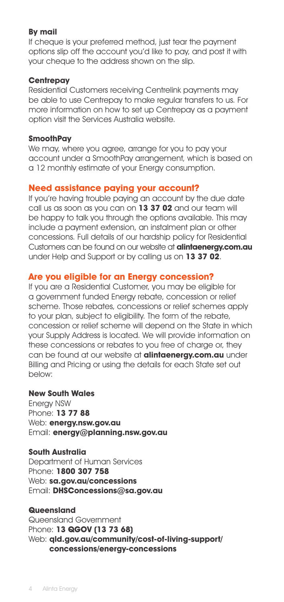#### **By mail**

If cheque is your preferred method, just tear the payment options slip off the account you'd like to pay, and post it with your cheque to the address shown on the slip.

#### **Centrepay**

Residential Customers receiving Centrelink payments may be able to use Centrepay to make regular transfers to us. For more information on how to set up Centrepay as a payment option visit the Services Australia website.

#### **SmoothPay**

We may, where you agree, arrange for you to pay your account under a SmoothPay arrangement, which is based on a 12 monthly estimate of your Energy consumption.

#### **Need assistance paying your account?**

If you're having trouble paying an account by the due date call us as soon as you can on **13 37 02** and our team will be happy to talk you through the options available. This may include a payment extension, an instalment plan or other concessions. Full details of our hardship policy for Residential Customers can be found on our website at **alintaenergy.com.au** under Help and Support or by calling us on **13 37 02**.

#### **Are you eligible for an Energy concession?**

If you are a Residential Customer, you may be eligible for a government funded Energy rebate, concession or relief scheme. Those rebates, concessions or relief schemes apply to your plan, subject to eligibility. The form of the rebate, concession or relief scheme will depend on the State in which your Supply Address is located. We will provide information on these concessions or rebates to you free of charge or, they can be found at our website at **alintaenergy.com.au** under Billing and Pricing or using the details for each State set out below:

#### **New South Wales**

Energy NSW Phone: **13 77 88** Web: **energy.nsw.gov.au** Email: **energy@planning.nsw.gov.au**

#### **South Australia**

Department of Human Services Phone: **1800 307 758** Web: **sa.gov.au/concessions** Email: **DHSConcessions@sa.gov.au**

#### **Queensland**

Queensland Government Phone: **13 QGOV (13 73 68)** Web: **qld.gov.au/community/cost-of-living-support/ concessions/energy-concessions**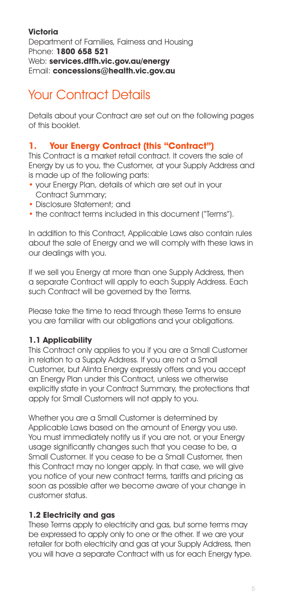#### **Victoria**  Department of Families, Fairness and Housing Phone: **1800 658 521** Web: **services.dffh.vic.gov.au/energy** Email: **concessions@health.vic.gov.au**

# Your Contract Details

Details about your Contract are set out on the following pages of this booklet.

# **1. Your Energy Contract (this "Contract")**

This Contract is a market retail contract. It covers the sale of Energy by us to you, the Customer, at your Supply Address and is made up of the following parts:

- your Energy Plan, details of which are set out in your Contract Summary;
- Disclosure Statement; and
- the contract terms included in this document ("Terms").

In addition to this Contract, Applicable Laws also contain rules about the sale of Energy and we will comply with these laws in our dealings with you.

If we sell you Energy at more than one Supply Address, then a separate Contract will apply to each Supply Address. Each such Contract will be governed by the Terms.

Please take the time to read through these Terms to ensure you are familiar with our obligations and your obligations.

#### **1.1 Applicability**

This Contract only applies to you if you are a Small Customer in relation to a Supply Address. If you are not a Small Customer, but Alinta Energy expressly offers and you accept an Energy Plan under this Contract, unless we otherwise explicitly state in your Contract Summary, the protections that apply for Small Customers will not apply to you.

Whether you are a Small Customer is determined by Applicable Laws based on the amount of Energy you use. You must immediately notify us if you are not, or your Energy usage significantly changes such that you cease to be, a Small Customer. If you cease to be a Small Customer, then this Contract may no longer apply. In that case, we will give you notice of your new contract terms, tariffs and pricing as soon as possible after we become aware of your change in customer status.

#### **1.2 Electricity and gas**

These Terms apply to electricity and gas, but some terms may be expressed to apply only to one or the other. If we are your retailer for both electricity and gas at your Supply Address, then you will have a separate Contract with us for each Energy type.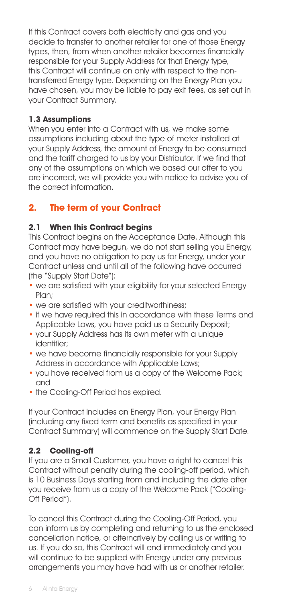If this Contract covers both electricity and gas and you decide to transfer to another retailer for one of those Energy types, then, from when another retailer becomes financially responsible for your Supply Address for that Energy type, this Contract will continue on only with respect to the nontransferred Energy type. Depending on the Energy Plan you have chosen, you may be liable to pay exit fees, as set out in your Contract Summary.

#### **1.3 Assumptions**

When you enter into a Contract with us, we make some assumptions including about the type of meter installed at your Supply Address, the amount of Energy to be consumed and the tariff charged to us by your Distributor. If we find that any of the assumptions on which we based our offer to you are incorrect, we will provide you with notice to advise you of the correct information.

# **2. The term of your Contract**

#### **2.1 When this Contract begins**

This Contract begins on the Acceptance Date. Although this Contract may have begun, we do not start selling you Energy, and you have no obligation to pay us for Energy, under your Contract unless and until all of the following have occurred (the "Supply Start Date"):

- we are satisfied with your eligibility for your selected Energy Plan;
- we are satisfied with your creditworthiness:
- if we have required this in accordance with these Terms and Applicable Laws, you have paid us a Security Deposit;
- your Supply Address has its own meter with a unique identifier;
- we have become financially responsible for your Supply Address in accordance with Applicable Laws;
- you have received from us a copy of the Welcome Pack; and
- the Cooling-Off Period has expired.

If your Contract includes an Energy Plan, your Energy Plan (including any fixed term and benefits as specified in your Contract Summary) will commence on the Supply Start Date.

#### **2.2 Cooling-off**

If you are a Small Customer, you have a right to cancel this Contract without penalty during the cooling-off period, which is 10 Business Days starting from and including the date after you receive from us a copy of the Welcome Pack ("Cooling-Off Period").

To cancel this Contract during the Cooling-Off Period, you can inform us by completing and returning to us the enclosed cancellation notice, or alternatively by calling us or writing to us. If you do so, this Contract will end immediately and you will continue to be supplied with Energy under any previous arrangements you may have had with us or another retailer.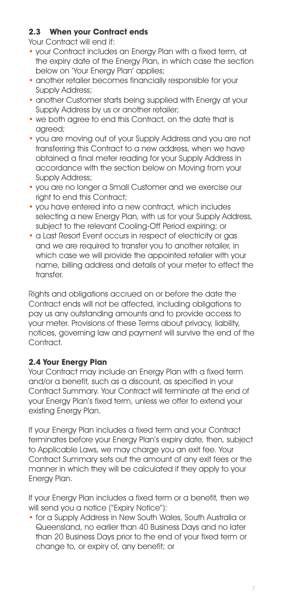#### **2.3 When your Contract ends**

Your Contract will end if:

- your Contract includes an Energy Plan with a fixed term, at the expiry date of the Energy Plan, in which case the section below on 'Your Energy Plan' applies;
- another retailer becomes financially responsible for your Supply Address;
- another Customer starts being supplied with Energy at your Supply Address by us or another retailer;
- we both agree to end this Contract, on the date that is agreed;
- you are moving out of your Supply Address and you are not transferring this Contract to a new address, when we have obtained a final meter reading for your Supply Address in accordance with the section below on Moving from your Supply Address;
- you are no longer a Small Customer and we exercise our right to end this Contract;
- you have entered into a new contract, which includes selecting a new Energy Plan, with us for your Supply Address, subject to the relevant Cooling-Off Period expiring; or
- a Last Resort Event occurs in respect of electricity or gas and we are required to transfer you to another retailer, in which case we will provide the appointed retailer with your name, billing address and details of your meter to effect the transfer.

Rights and obligations accrued on or before the date the Contract ends will not be affected, including obligations to pay us any outstanding amounts and to provide access to your meter. Provisions of these Terms about privacy, liability, notices, governing law and payment will survive the end of the Contract.

#### **2.4 Your Energy Plan**

Your Contract may include an Energy Plan with a fixed term and/or a benefit, such as a discount, as specified in your Contract Summary. Your Contract will terminate at the end of your Energy Plan's fixed term, unless we offer to extend your existing Energy Plan.

If your Energy Plan includes a fixed term and your Contract terminates before your Energy Plan's expiry date, then, subject to Applicable Laws, we may charge you an exit fee. Your Contract Summary sets out the amount of any exit fees or the manner in which they will be calculated if they apply to your Energy Plan.

If your Energy Plan includes a fixed term or a benefit, then we will send you a notice ("Expiry Notice"):

• for a Supply Address in New South Wales, South Australia or Queensland, no earlier than 40 Business Days and no later than 20 Business Days prior to the end of your fixed term or change to, or expiry of, any benefit; or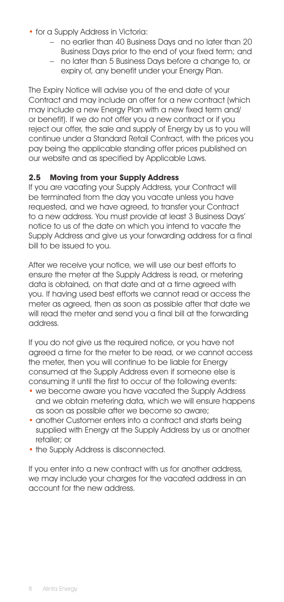- for a Supply Address in Victoria:
	- no earlier than 40 Business Days and no later than 20 Business Days prior to the end of your fixed term; and
	- no later than 5 Business Days before a change to, or expiry of, any benefit under your Energy Plan.

The Expiry Notice will advise you of the end date of your Contract and may include an offer for a new contract (which may include a new Energy Plan with a new fixed term and/ or benefit). If we do not offer you a new contract or if you reject our offer, the sale and supply of Energy by us to you will continue under a Standard Retail Contract, with the prices you pay being the applicable standing offer prices published on our website and as specified by Applicable Laws.

#### **2.5 Moving from your Supply Address**

If you are vacating your Supply Address, your Contract will be terminated from the day you vacate unless you have requested, and we have agreed, to transfer your Contract to a new address. You must provide at least 3 Business Days' notice to us of the date on which you intend to vacate the Supply Address and give us your forwarding address for a final bill to be issued to you.

After we receive your notice, we will use our best efforts to ensure the meter at the Supply Address is read, or metering data is obtained, on that date and at a time agreed with you. If having used best efforts we cannot read or access the meter as agreed, then as soon as possible after that date we will read the meter and send you a final bill at the forwarding address.

If you do not give us the required notice, or you have not agreed a time for the meter to be read, or we cannot access the meter, then you will continue to be liable for Energy consumed at the Supply Address even if someone else is consuming it until the first to occur of the following events:

- we become aware you have vacated the Supply Address and we obtain metering data, which we will ensure happens as soon as possible after we become so aware;
- another Customer enters into a contract and starts being supplied with Energy at the Supply Address by us or another retailer; or
- the Supply Address is disconnected.

If you enter into a new contract with us for another address, we may include your charges for the vacated address in an account for the new address.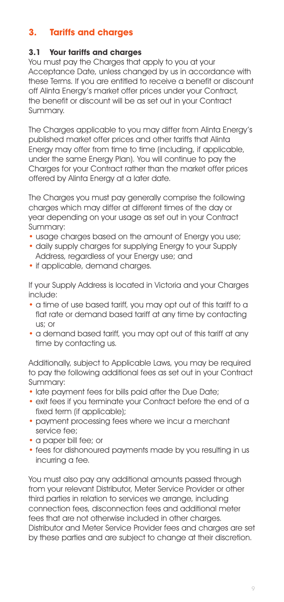# **3. Tariffs and charges**

#### **3.1 Your tariffs and charges**

You must pay the Charges that apply to you at your Acceptance Date, unless changed by us in accordance with these Terms. If you are entitled to receive a benefit or discount off Alinta Energy's market offer prices under your Contract, the benefit or discount will be as set out in your Contract Summary.

The Charges applicable to you may differ from Alinta Energy's published market offer prices and other tariffs that Alinta Energy may offer from time to time (including, if applicable, under the same Energy Plan). You will continue to pay the Charges for your Contract rather than the market offer prices offered by Alinta Energy at a later date.

The Charges you must pay generally comprise the following charges which may differ at different times of the day or year depending on your usage as set out in your Contract Summary:

- usage charges based on the amount of Energy you use:
- daily supply charges for supplying Energy to your Supply Address, regardless of your Energy use; and
- if applicable, demand charges.

If your Supply Address is located in Victoria and your Charges include:

- a time of use based tariff, you may opt out of this tariff to a flat rate or demand based tariff at any time by contacting us; or
- a demand based tariff, you may opt out of this tariff at any time by contacting us.

Additionally, subject to Applicable Laws, you may be required to pay the following additional fees as set out in your Contract Summary:

- late payment fees for bills paid after the Due Date;
- exit fees if you terminate your Contract before the end of a fixed term (if applicable);
- payment processing fees where we incur a merchant service fee;
- a paper bill fee; or
- fees for dishonoured payments made by you resulting in us incurring a fee.

You must also pay any additional amounts passed through from your relevant Distributor, Meter Service Provider or other third parties in relation to services we arrange, including connection fees, disconnection fees and additional meter fees that are not otherwise included in other charges. Distributor and Meter Service Provider fees and charges are set by these parties and are subject to change at their discretion.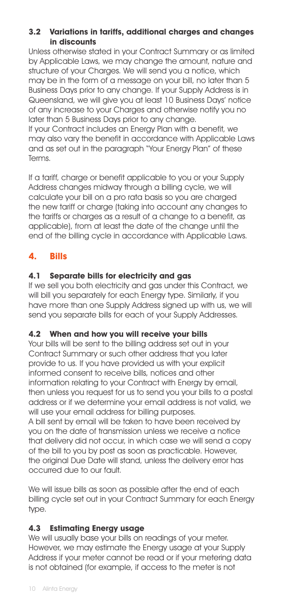#### **3.2 Variations in tariffs, additional charges and changes in discounts**

Unless otherwise stated in your Contract Summary or as limited by Applicable Laws, we may change the amount, nature and structure of your Charges. We will send you a notice, which may be in the form of a message on your bill, no later than 5 Business Days prior to any change. If your Supply Address is in Queensland, we will give you at least 10 Business Days' notice of any increase to your Charges and otherwise notify you no later than 5 Business Days prior to any change.

If your Contract includes an Energy Plan with a benefit, we may also vary the benefit in accordance with Applicable Laws and as set out in the paragraph "Your Energy Plan" of these Terms.

If a tariff, charge or benefit applicable to you or your Supply Address changes midway through a billing cycle, we will calculate your bill on a pro rata basis so you are charged the new tariff or charge (taking into account any changes to the tariffs or charges as a result of a change to a benefit, as applicable), from at least the date of the change until the end of the billing cycle in accordance with Applicable Laws.

# **4. Bills**

# **4.1 Separate bills for electricity and gas**

If we sell you both electricity and gas under this Contract, we will bill you separately for each Energy type. Similarly, if you have more than one Supply Address signed up with us, we will send you separate bills for each of your Supply Addresses.

#### **4.2 When and how you will receive your bills**

Your bills will be sent to the billing address set out in your Contract Summary or such other address that you later provide to us. If you have provided us with your explicit informed consent to receive bills, notices and other information relating to your Contract with Energy by email, then unless you request for us to send you your bills to a postal address or if we determine your email address is not valid, we will use your email address for billing purposes. A bill sent by email will be taken to have been received by

you on the date of transmission unless we receive a notice that delivery did not occur, in which case we will send a copy of the bill to you by post as soon as practicable. However, the original Due Date will stand, unless the delivery error has occurred due to our fault.

We will issue bills as soon as possible after the end of each billing cycle set out in your Contract Summary for each Energy type.

#### **4.3 Estimating Energy usage**

We will usually base your bills on readings of your meter. However, we may estimate the Energy usage at your Supply Address if your meter cannot be read or if your metering data is not obtained (for example, if access to the meter is not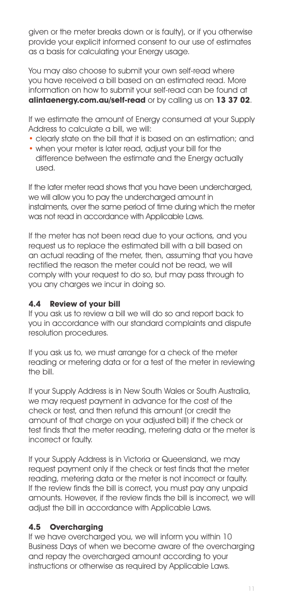given or the meter breaks down or is faulty), or if you otherwise provide your explicit informed consent to our use of estimates as a basis for calculating your Energy usage.

You may also choose to submit your own self-read where you have received a bill based on an estimated read. More information on how to submit your self-read can be found at **alintaenergy.com.au/self-read** or by calling us on **13 37 02**.

If we estimate the amount of Energy consumed at your Supply Address to calculate a bill, we will:

- clearly state on the bill that it is based on an estimation; and
- when your meter is later read, adjust your bill for the difference between the estimate and the Energy actually used.

If the later meter read shows that you have been undercharged, we will allow you to pay the undercharged amount in instalments, over the same period of time during which the meter was not read in accordance with Applicable Laws.

If the meter has not been read due to your actions, and you request us to replace the estimated bill with a bill based on an actual reading of the meter, then, assuming that you have rectified the reason the meter could not be read, we will comply with your request to do so, but may pass through to you any charges we incur in doing so.

#### **4.4 Review of your bill**

If you ask us to review a bill we will do so and report back to you in accordance with our standard complaints and dispute resolution procedures.

If you ask us to, we must arrange for a check of the meter reading or metering data or for a test of the meter in reviewing the bill.

If your Supply Address is in New South Wales or South Australia, we may request payment in advance for the cost of the check or test, and then refund this amount (or credit the amount of that charge on your adjusted bill) if the check or test finds that the meter reading, metering data or the meter is incorrect or faulty.

If your Supply Address is in Victoria or Queensland, we may request payment only if the check or test finds that the meter reading, metering data or the meter is not incorrect or faulty. If the review finds the bill is correct, you must pay any unpaid amounts. However, if the review finds the bill is incorrect, we will adjust the bill in accordance with Applicable Laws.

#### **4.5 Overcharging**

If we have overcharged you, we will inform you within 10 Business Days of when we become aware of the overcharaina and repay the overcharged amount according to your instructions or otherwise as required by Applicable Laws.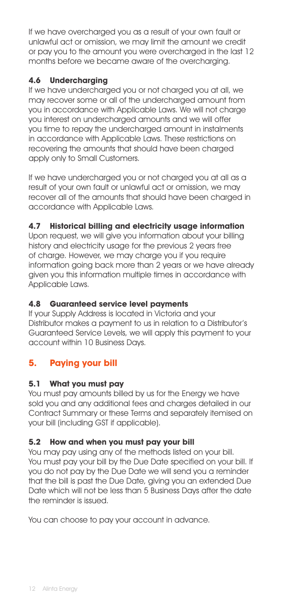If we have overcharged you as a result of your own fault or unlawful act or omission, we may limit the amount we credit or pay you to the amount you were overcharged in the last 12 months before we became aware of the overcharging.

# **4.6 Undercharging**

If we have undercharged you or not charged you at all, we may recover some or all of the undercharged amount from you in accordance with Applicable Laws. We will not charge you interest on undercharged amounts and we will offer you time to repay the undercharged amount in instalments in accordance with Applicable Laws. These restrictions on recovering the amounts that should have been charged apply only to Small Customers.

If we have undercharged you or not charged you at all as a result of your own fault or unlawful act or omission, we may recover all of the amounts that should have been charged in accordance with Applicable Laws.

#### **4.7 Historical billing and electricity usage information**

Upon request, we will give you information about your billing history and electricity usage for the previous 2 years free of charge. However, we may charge you if you require information going back more than 2 years or we have already given you this information multiple times in accordance with Applicable Laws.

#### **4.8 Guaranteed service level payments**

If your Supply Address is located in Victoria and your Distributor makes a payment to us in relation to a Distributor's Guaranteed Service Levels, we will apply this payment to your account within 10 Business Days.

# **5. Paying your bill**

#### **5.1 What you must pay**

You must pay amounts billed by us for the Energy we have sold you and any additional fees and charges detailed in our Contract Summary or these Terms and separately itemised on your bill (including GST if applicable).

#### **5.2 How and when you must pay your bill**

You may pay using any of the methods listed on your bill. You must pay your bill by the Due Date specified on your bill. If you do not pay by the Due Date we will send you a reminder that the bill is past the Due Date, giving you an extended Due Date which will not be less than 5 Business Days after the date the reminder is issued.

You can choose to pay your account in advance.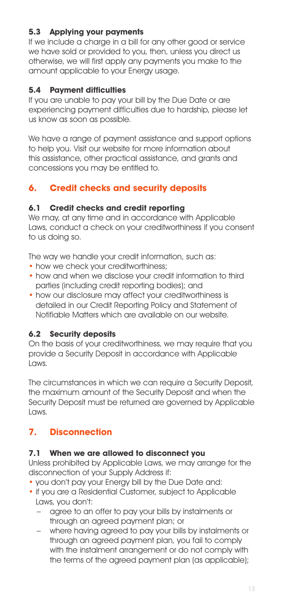# **5.3 Applying your payments**

If we include a charge in a bill for any other good or service we have sold or provided to you, then, unless you direct us otherwise, we will first apply any payments you make to the amount applicable to your Energy usage.

#### **5.4 Payment difficulties**

If you are unable to pay your bill by the Due Date or are experiencing payment difficulties due to hardship, please let us know as soon as possible.

We have a range of payment assistance and support options to help you. Visit our website for more information about this assistance, other practical assistance, and grants and concessions you may be entitled to.

# **6. Credit checks and security deposits**

#### **6.1 Credit checks and credit reporting**

We may, at any time and in accordance with Applicable Laws, conduct a check on your creditworthiness if you consent to us doing so.

The way we handle your credit information, such as:

- how we check your creditworthiness:
- how and when we disclose your credit information to third parties (including credit reporting bodies); and
- how our disclosure may affect your creditworthiness is detailed in our Credit Reporting Policy and Statement of Notifiable Matters which are available on our website.

#### **6.2 Security deposits**

On the basis of your creditworthiness, we may require that you provide a Security Deposit in accordance with Applicable Laws.

The circumstances in which we can require a Security Deposit, the maximum amount of the Security Deposit and when the Security Deposit must be returned are governed by Applicable Laws.

# **7. Disconnection**

#### **7.1 When we are allowed to disconnect you**

Unless prohibited by Applicable Laws, we may arrange for the disconnection of your Supply Address if:

- you don't pay your Energy bill by the Due Date and:
- if you are a Residential Customer, subject to Applicable Laws, you don't:
	- agree to an offer to pay your bills by instalments or through an agreed payment plan; or
	- where having agreed to pay your bills by instalments or through an agreed payment plan, you fail to comply with the instalment arrangement or do not comply with the terms of the agreed payment plan (as applicable);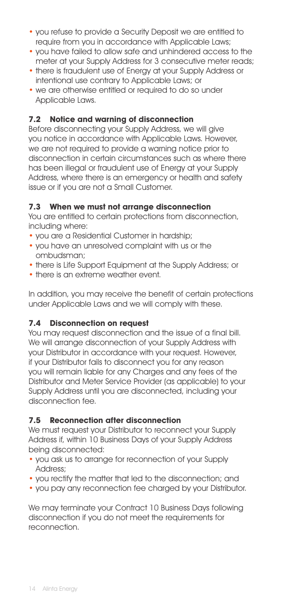- you refuse to provide a Security Deposit we are entitled to require from you in accordance with Applicable Laws;
- you have failed to allow safe and unhindered access to the meter at your Supply Address for 3 consecutive meter reads;
- there is fraudulent use of Energy at your Supply Address or intentional use contrary to Applicable Laws; or
- we are otherwise entitled or required to do so under Applicable Laws.

#### **7.2 Notice and warning of disconnection**

Before disconnecting your Supply Address, we will give you notice in accordance with Applicable Laws. However, we are not required to provide a warning notice prior to disconnection in certain circumstances such as where there has been illegal or fraudulent use of Energy at your Supply Address, where there is an emergency or health and safety issue or if you are not a Small Customer.

#### **7.3 When we must not arrange disconnection**

You are entitled to certain protections from disconnection, including where:

- you are a Residential Customer in hardship;
- you have an unresolved complaint with us or the ombudsman;
- there is Life Support Equipment at the Supply Address; or
- there is an extreme weather event.

In addition, you may receive the benefit of certain protections under Applicable Laws and we will comply with these.

#### **7.4 Disconnection on request**

You may request disconnection and the issue of a final bill. We will arrange disconnection of your Supply Address with your Distributor in accordance with your request. However, if your Distributor fails to disconnect you for any reason you will remain liable for any Charges and any fees of the Distributor and Meter Service Provider (as applicable) to your Supply Address until you are disconnected, including your disconnection fee.

#### **7.5 Reconnection after disconnection**

We must request your Distributor to reconnect your Supply Address if, within 10 Business Days of your Supply Address being disconnected:

- you ask us to arrange for reconnection of your Supply Address;
- you rectify the matter that led to the disconnection; and
- you pay any reconnection fee charged by your Distributor.

We may terminate your Contract 10 Business Days following disconnection if you do not meet the requirements for reconnection.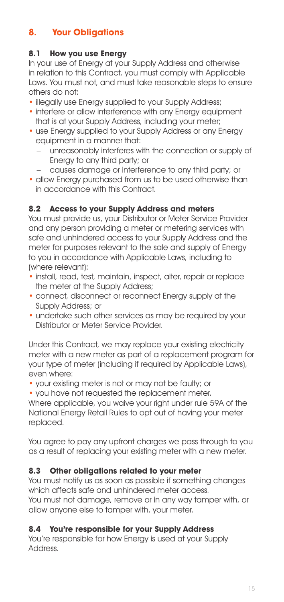# **8. Your Obligations**

# **8.1 How you use Energy**

In your use of Energy at your Supply Address and otherwise in relation to this Contract, you must comply with Applicable Laws. You must not, and must take reasonable steps to ensure others do not:

- illegally use Energy supplied to your Supply Address:
- interfere or allow interference with any Energy equipment that is at your Supply Address, including your meter;
- use Energy supplied to your Supply Address or any Energy equipment in a manner that:
	- unreasonably interferes with the connection or supply of Energy to any third party; or
	- causes damage or interference to any third party; or
- allow Energy purchased from us to be used otherwise than in accordance with this Contract.

#### **8.2 Access to your Supply Address and meters**

You must provide us, your Distributor or Meter Service Provider and any person providing a meter or metering services with safe and unhindered access to your Supply Address and the meter for purposes relevant to the sale and supply of Energy to you in accordance with Applicable Laws, including to (where relevant):

- install, read, test, maintain, inspect, alter, repair or replace the meter at the Supply Address;
- connect, disconnect or reconnect Energy supply at the Supply Address; or
- undertake such other services as may be required by your Distributor or Meter Service Provider.

Under this Contract, we may replace your existing electricity meter with a new meter as part of a replacement program for your type of meter (including if required by Applicable Laws), even where:

- your existing meter is not or may not be faulty; or
- you have not reauested the replacement meter.

Where applicable, you waive your right under rule 59A of the National Energy Retail Rules to opt out of having your meter replaced.

You agree to pay any upfront charges we pass through to you as a result of replacing your existing meter with a new meter.

#### **8.3 Other obligations related to your meter**

You must notify us as soon as possible if something changes which affects safe and unhindered meter access. You must not damage, remove or in any way tamper with, or allow anyone else to tamper with, your meter.

#### **8.4 You're responsible for your Supply Address**

You're responsible for how Energy is used at your Supply Address.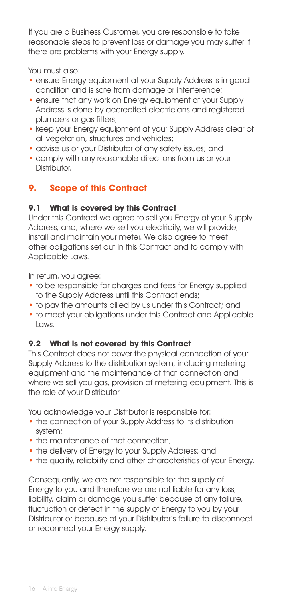If you are a Business Customer, you are responsible to take reasonable steps to prevent loss or damage you may suffer if there are problems with your Energy supply.

You must also:

- ensure Energy equipment at your Supply Address is in good condition and is safe from damage or interference;
- ensure that any work on Energy equipment at your Supply Address is done by accredited electricians and registered plumbers or gas fitters;
- keep your Energy equipment at your Supply Address clear of all vegetation, structures and vehicles;
- advise us or your Distributor of any safety issues; and
- comply with any reasonable directions from us or your Distributor

# **9. Scope of this Contract**

#### **9.1 What is covered by this Contract**

Under this Contract we agree to sell you Energy at your Supply Address, and, where we sell you electricity, we will provide, install and maintain your meter. We also agree to meet other obligations set out in this Contract and to comply with Applicable Laws.

In return, you agree:

- to be responsible for charges and fees for Energy supplied to the Supply Address until this Contract ends;
- to pay the amounts billed by us under this Contract; and
- to meet your obligations under this Contract and Applicable Laws.

#### **9.2 What is not covered by this Contract**

This Contract does not cover the physical connection of your Supply Address to the distribution system, including metering equipment and the maintenance of that connection and where we sell you gas, provision of metering equipment. This is the role of your Distributor.

You acknowledge your Distributor is responsible for:

- the connection of your Supply Address to its distribution system;
- the maintenance of that connection:
- the delivery of Energy to your Supply Address; and
- the quality, reliability and other characteristics of your Energy.

Consequently, we are not responsible for the supply of Energy to you and therefore we are not liable for any loss, liability, claim or damage you suffer because of any failure, fluctuation or defect in the supply of Energy to you by your Distributor or because of your Distributor's failure to disconnect or reconnect your Energy supply.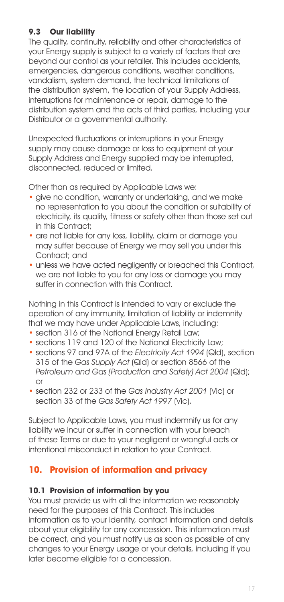# **9.3 Our liability**

The quality, continuity, reliability and other characteristics of your Energy supply is subject to a variety of factors that are beyond our control as your retailer. This includes accidents, emergencies, dangerous conditions, weather conditions, vandalism, system demand, the technical limitations of the distribution system, the location of your Supply Address, interruptions for maintenance or repair, damage to the distribution system and the acts of third parties, including your Distributor or a governmental authority.

Unexpected fluctuations or interruptions in your Energy supply may cause damage or loss to equipment at your Supply Address and Energy supplied may be interrupted, disconnected, reduced or limited.

Other than as required by Applicable Laws we:

- give no condition, warranty or undertaking, and we make no representation to you about the condition or suitability of electricity, its quality, fitness or safety other than those set out in this Contract:
- are not liable for any loss, liability, claim or damage you may suffer because of Energy we may sell you under this Contract; and
- unless we have acted negligently or breached this Contract, we are not liable to you for any loss or damage you may suffer in connection with this Contract.

Nothing in this Contract is intended to vary or exclude the operation of any immunity, limitation of liability or indemnity that we may have under Applicable Laws, including:

- section 316 of the National Energy Retail Law;
- sections 119 and 120 of the National Electricity Law;
- sections 97 and 97A of the Electricity Act 1994 (Qld), section 315 of the Gas Supply Act (Qld) or section 8566 of the Petroleum and Gas (Production and Safety) Act 2004 (Qld); or
- section 232 or 233 of the Gas Industry Act 2001 (Vic) or section 33 of the Gas Safety Act 1997 (Vic).

Subject to Applicable Laws, you must indemnify us for any liability we incur or suffer in connection with your breach of these Terms or due to your negligent or wrongful acts or intentional misconduct in relation to your Contract.

# **10. Provision of information and privacy**

#### **10.1 Provision of information by you**

You must provide us with all the information we reasonably need for the purposes of this Contract. This includes information as to your identity, contact information and details about your eligibility for any concession. This information must be correct, and you must notify us as soon as possible of any changes to your Energy usage or your details, including if you later become eligible for a concession.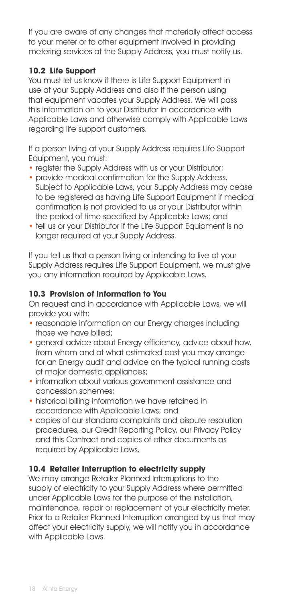If you are aware of any changes that materially affect access to your meter or to other equipment involved in providing metering services at the Supply Address, you must notify us.

#### **10.2 Life Support**

You must let us know if there is Life Support Equipment in use at your Supply Address and also if the person using that equipment vacates your Supply Address. We will pass this information on to your Distributor in accordance with Applicable Laws and otherwise comply with Applicable Laws regarding life support customers.

If a person living at your Supply Address requires Life Support Equipment, you must:

- register the Supply Address with us or your Distributor;
- provide medical confirmation for the Supply Address. Subject to Applicable Laws, your Supply Address may cease to be registered as having Life Support Equipment if medical confirmation is not provided to us or your Distributor within the period of time specified by Applicable Laws; and
- tell us or your Distributor if the Life Support Equipment is no longer required at your Supply Address.

If you tell us that a person living or intending to live at your Supply Address requires Life Support Equipment, we must give you any information required by Applicable Laws.

#### **10.3 Provision of Information to You**

On request and in accordance with Applicable Laws, we will provide you with:

- reasonable information on our Energy charges including those we have billed;
- general advice about Energy efficiency, advice about how, from whom and at what estimated cost you may arrange for an Energy audit and advice on the typical running costs of major domestic appliances;
- information about various government assistance and concession schemes;
- historical billing information we have retained in accordance with Applicable Laws; and
- copies of our standard complaints and dispute resolution procedures, our Credit Reporting Policy, our Privacy Policy and this Contract and copies of other documents as required by Applicable Laws.

#### **10.4 Retailer Interruption to electricity supply**

We may arrange Retailer Planned Interruptions to the supply of electricity to your Supply Address where permitted under Applicable Laws for the purpose of the installation, maintenance, repair or replacement of your electricity meter. Prior to a Retailer Planned Interruption arranged by us that may affect your electricity supply, we will notify you in accordance with Applicable Laws.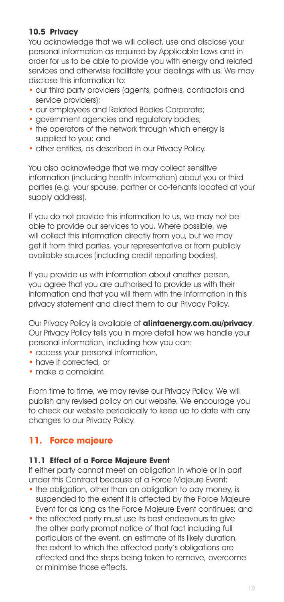#### **10.5 Privacy**

You acknowledge that we will collect, use and disclose your personal information as required by Applicable Laws and in order for us to be able to provide you with energy and related services and otherwise facilitate your dealings with us. We may disclose this information to:

- our third party providers (agents, partners, contractors and service providers);
- our employees and Related Bodies Corporate;
- government agencies and regulatory bodies;
- the operators of the network through which energy is supplied to you; and
- other entities, as described in our Privacy Policy.

You also acknowledge that we may collect sensitive information (including health information) about you or third parties (e.g. your spouse, partner or co-tenants located at your supply address).

If you do not provide this information to us, we may not be able to provide our services to you. Where possible, we will collect this information directly from you, but we may get it from third parties, your representative or from publicly available sources (including credit reporting bodies).

If you provide us with information about another person, you agree that you are authorised to provide us with their information and that you will them with the information in this privacy statement and direct them to our Privacy Policy.

Our Privacy Policy is available at **alintaenergy.com.au/privacy**. Our Privacy Policy tells you in more detail how we handle your personal information, including how you can:

- access your personal information,
- have it corrected, or
- make a complaint.

From time to time, we may revise our Privacy Policy. We will publish any revised policy on our website. We encourage you to check our website periodically to keep up to date with any changes to our Privacy Policy.

# **11. Force majeure**

#### **11.1 Effect of a Force Majeure Event**

If either party cannot meet an obligation in whole or in part under this Contract because of a Force Majeure Event:

- the obligation, other than an obligation to pay money, is suspended to the extent it is affected by the Force Majeure Event for as long as the Force Majeure Event continues; and
- the affected party must use its best endeavours to give the other party prompt notice of that fact including full particulars of the event, an estimate of its likely duration, the extent to which the affected party's obligations are affected and the steps being taken to remove, overcome or minimise those effects.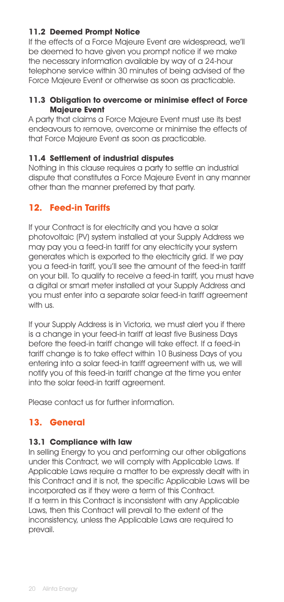#### **11.2 Deemed Prompt Notice**

If the effects of a Force Majeure Event are widespread, we'll be deemed to have given you prompt notice if we make the necessary information available by way of a 24-hour telephone service within 30 minutes of being advised of the Force Majeure Event or otherwise as soon as practicable.

#### **11.3 Obligation to overcome or minimise effect of Force Majeure Event**

A party that claims a Force Majeure Event must use its best endeavours to remove, overcome or minimise the effects of that Force Majeure Event as soon as practicable.

#### **11.4 Settlement of industrial disputes**

Nothing in this clause requires a party to settle an industrial dispute that constitutes a Force Majeure Event in any manner other than the manner preferred by that party.

# **12. Feed-in Tariffs**

If your Contract is for electricity and you have a solar photovoltaic (PV) system installed at your Supply Address we may pay you a feed-in tariff for any electricity your system generates which is exported to the electricity grid. If we pay you a feed-in tariff, you'll see the amount of the feed-in tariff on your bill. To qualify to receive a feed-in tariff, you must have a digital or smart meter installed at your Supply Address and you must enter into a separate solar feed-in tariff agreement with us.

If your Supply Address is in Victoria, we must alert you if there is a change in your feed-in tariff at least five Business Days before the feed-in tariff change will take effect. If a feed-in tariff change is to take effect within 10 Business Days of you entering into a solar feed-in tariff agreement with us, we will notify you of this feed-in tariff change at the time you enter into the solar feed-in tariff agreement.

Please contact us for further information.

# **13. General**

#### **13.1 Compliance with law**

In selling Energy to you and performing our other obligations under this Contract, we will comply with Applicable Laws. If Applicable Laws require a matter to be expressly dealt with in this Contract and it is not, the specific Applicable Laws will be incorporated as if they were a term of this Contract. If a term in this Contract is inconsistent with any Applicable Laws, then this Contract will prevail to the extent of the inconsistency, unless the Applicable Laws are required to prevail.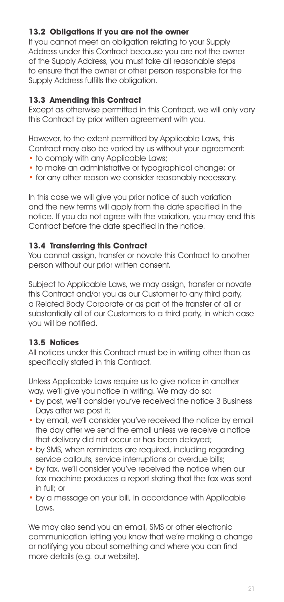# **13.2 Obligations if you are not the owner**

If you cannot meet an obligation relating to your Supply Address under this Contract because you are not the owner of the Supply Address, you must take all reasonable steps to ensure that the owner or other person responsible for the Supply Address fulfills the obligation.

#### **13.3 Amending this Contract**

Except as otherwise permitted in this Contract, we will only vary this Contract by prior written agreement with you.

However, to the extent permitted by Applicable Laws, this Contract may also be varied by us without your agreement:

- to comply with any Applicable Laws;
- to make an administrative or typographical change; or
- for any other reason we consider reasonably necessary.

In this case we will give you prior notice of such variation and the new terms will apply from the date specified in the notice. If you do not agree with the variation, you may end this Contract before the date specified in the notice.

#### **13.4 Transferring this Contract**

You cannot assign, transfer or novate this Contract to another person without our prior written consent.

Subject to Applicable Laws, we may assign, transfer or novate this Contract and/or you as our Customer to any third party, a Related Body Corporate or as part of the transfer of all or substantially all of our Customers to a third party, in which case you will be notified.

#### **13.5 Notices**

All notices under this Contract must be in writing other than as specifically stated in this Contract.

Unless Applicable Laws require us to give notice in another way, we'll give you notice in writing. We may do so:

- by post, we'll consider you've received the notice 3 Business Days after we post it;
- by email, we'll consider you've received the notice by email the day after we send the email unless we receive a notice that delivery did not occur or has been delayed;
- by SMS, when reminders are required, including regarding service callouts, service interruptions or overdue bills;
- by fax, we'll consider you've received the notice when our fax machine produces a report stating that the fax was sent in full; or
- by a message on your bill, in accordance with Applicable Laws.

We may also send you an email, SMS or other electronic communication letting you know that we're making a change or notifying you about something and where you can find more details (e.g. our website).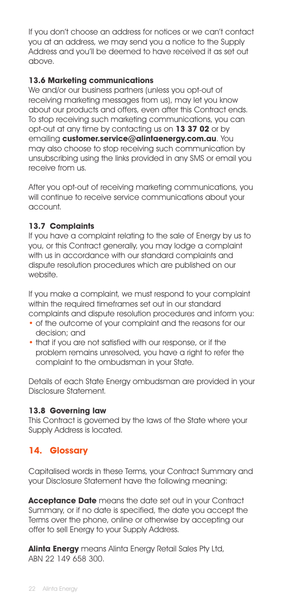If you don't choose an address for notices or we can't contact you at an address, we may send you a notice to the Supply Address and you'll be deemed to have received it as set out above.

#### **13.6 Marketing communications**

We and/or our business partners (unless you opt-out of receiving marketing messages from us), may let you know about our products and offers, even after this Contract ends. To stop receiving such marketing communications, you can opt-out at any time by contacting us on **13 37 02** or by emailing **customer.service@alintaenergy.com.au**. You may also choose to stop receiving such communication by unsubscribing using the links provided in any SMS or email you receive from us.

After you opt-out of receiving marketing communications, you will continue to receive service communications about your account.

#### **13.7 Complaints**

If you have a complaint relating to the sale of Energy by us to you, or this Contract generally, you may lodge a complaint with us in accordance with our standard complaints and dispute resolution procedures which are published on our website.

If you make a complaint, we must respond to your complaint within the required timeframes set out in our standard complaints and dispute resolution procedures and inform you:

- of the outcome of your complaint and the reasons for our decision; and
- that if you are not satisfied with our response, or if the problem remains unresolved, you have a right to refer the complaint to the ombudsman in your State.

Details of each State Energy ombudsman are provided in your Disclosure Statement.

#### **13.8 Governing law**

This Contract is governed by the laws of the State where your Supply Address is located.

# **14. Glossary**

Capitalised words in these Terms, your Contract Summary and your Disclosure Statement have the following meaning:

**Acceptance Date** means the date set out in your Contract Summary, or if no date is specified, the date you accept the Terms over the phone, online or otherwise by accepting our offer to sell Energy to your Supply Address.

**Alinta Energy** means Alinta Energy Retail Sales Pty Ltd, ABN 22 149 658 300.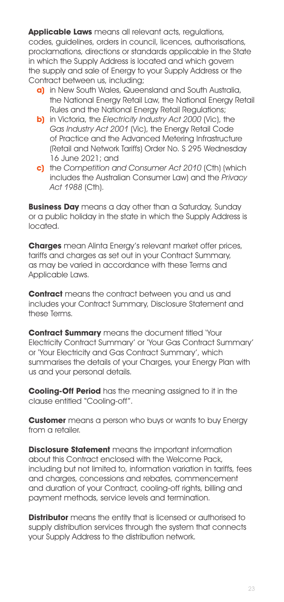**Applicable Laws** means all relevant acts, regulations, codes, guidelines, orders in council, licences, authorisations, proclamations, directions or standards applicable in the State in which the Supply Address is located and which govern the supply and sale of Energy to your Supply Address or the Contract between us, including;

- **a)** in New South Wales, Queensland and South Australia, the National Energy Retail Law, the National Energy Retail Rules and the National Energy Retail Regulations;
- **b)** in Victoria, the Electricity Industry Act 2000 (Vic), the Gas Industry Act 2001 (Vic), the Energy Retail Code of Practice and the Advanced Metering Infrastructure (Retail and Network Tariffs) Order No. S 295 Wednesday 16 June 2021; and
- **c)** the Competition and Consumer Act 2010 (Cth) (which includes the Australian Consumer Law) and the Privacy Act 1988 (Cth).

**Business Day** means a day other than a Saturday, Sunday or a public holiday in the state in which the Supply Address is located.

**Charges** mean Alinta Energy's relevant market offer prices, tariffs and charges as set out in your Contract Summary, as may be varied in accordance with these Terms and Applicable Laws.

**Contract** means the contract between you and us and includes your Contract Summary, Disclosure Statement and these Terms.

**Contract Summary** means the document titled 'Your Electricity Contract Summary' or 'Your Gas Contract Summary' or 'Your Electricity and Gas Contract Summary', which summarises the details of your Charges, your Energy Plan with us and your personal details.

**Cooling-Off Period** has the meaning assigned to it in the clause entitled "Cooling-off".

**Customer** means a person who buys or wants to buy Energy from a retailer.

**Disclosure Statement** means the important information about this Contract enclosed with the Welcome Pack, including but not limited to, information variation in tariffs, fees and charges, concessions and rebates, commencement and duration of your Contract, cooling-off rights, billing and payment methods, service levels and termination.

**Distributor** means the entity that is licensed or authorised to supply distribution services through the system that connects your Supply Address to the distribution network.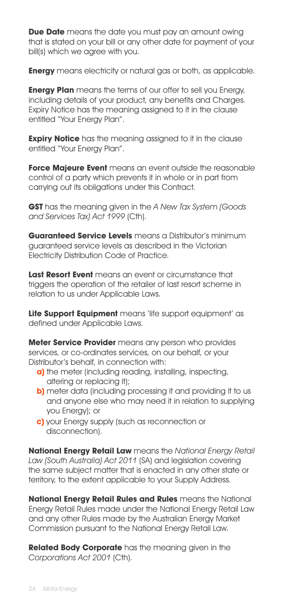**Due Date** means the date you must pay an amount owing that is stated on your bill or any other date for payment of your bill(s) which we agree with you.

**Energy** means electricity or natural gas or both, as applicable.

**Energy Plan** means the terms of our offer to sell you Energy, including details of your product, any benefits and Charges. Expiry Notice has the meaning assigned to it in the clause entitled "Your Energy Plan".

**Expiry Notice** has the meaning assigned to it in the clause entitled "Your Energy Plan".

**Force Majeure Event** means an event outside the reasonable control of a party which prevents it in whole or in part from carrying out its obligations under this Contract.

**GST** has the meaning given in the A New Tax System (Goods and Services Tax) Act 1999 (Cth).

**Guaranteed Service Levels** means a Distributor's minimum guaranteed service levels as described in the Victorian Electricity Distribution Code of Practice.

**Last Resort Event** means an event or circumstance that triggers the operation of the retailer of last resort scheme in relation to us under Applicable Laws.

Life **Support Equipment** means 'life support equipment' as defined under Applicable Laws.

**Meter Service Provider** means any person who provides services, or co-ordinates services, on our behalf, or your Distributor's behalf, in connection with:

- **a)** the meter (including reading, installing, inspecting, altering or replacing it);
- **b)** meter data (including processing it and providing it to us and anyone else who may need it in relation to supplying you Energy); or
- **c)** your Energy supply (such as reconnection or disconnection).

**National Energy Retail Law** means the National Energy Retail Law (South Australia) Act 2011 (SA) and legislation covering the same subject matter that is enacted in any other state or territory, to the extent applicable to your Supply Address.

**National Energy Retail Rules and Rules** means the National Energy Retail Rules made under the National Energy Retail Law and any other Rules made by the Australian Energy Market Commission pursuant to the National Energy Retail Law.

**Related Body Corporate** has the meaning given in the Corporations Act 2001 (Cth).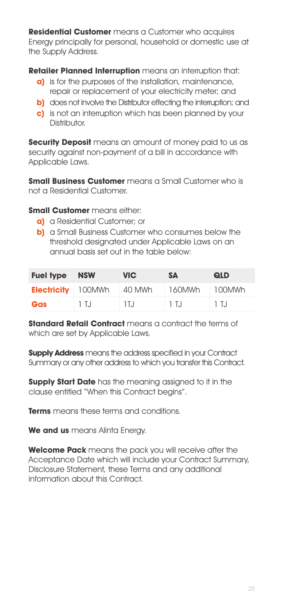**Residential Customer** means a Customer who acquires Energy principally for personal, household or domestic use at the Supply Address.

**Retailer Planned Interruption** means an interruption that:

- **a)** is for the purposes of the installation, maintenance, repair or replacement of your electricity meter; and
- **b)** does not involve the Distributor effecting the interruption; and
- **c)** is not an interruption which has been planned by your Distributor

**Security Deposit** means an amount of money paid to us as security against non-payment of a bill in accordance with Applicable Laws.

**Small Business Customer** means a Small Customer who is not a Residential Customer.

**Small Customer** means either:

- **a)** a Residential Customer; or
- **b)** a Small Business Customer who consumes below the threshold designated under Applicable Laws on an annual basis set out in the table below:

| <b>Fuel type</b>          | <b>NSW</b> | <b>VIC</b> | <b>SA</b> | <b>QLD</b> |
|---------------------------|------------|------------|-----------|------------|
| <b>Electricity</b> 100MWh |            | 40 MWh     | 160MWh    | 100MWh     |
| Gas                       | 1 T.J      | 1 T. J     | 1 T.J     | 1 T.J      |

**Standard Retail Contract** means a contract the terms of which are set by Applicable Laws.

**Supply Address** means the address specified in your Contract Summary or any other address to which you transfer this Contract.

**Supply Start Date** has the meaning assigned to it in the clause entitled "When this Contract begins".

**Terms** means these terms and conditions.

**We and us** means Alinta Energy.

**Welcome Pack** means the pack you will receive after the Acceptance Date which will include your Contract Summary, Disclosure Statement, these Terms and any additional information about this Contract.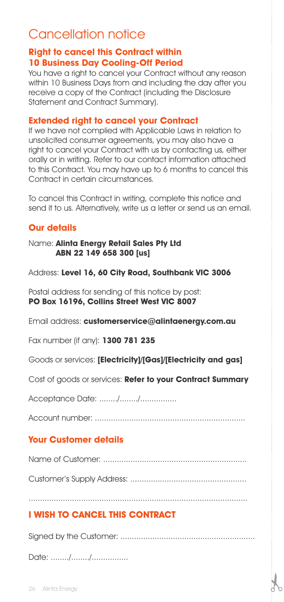# Cancellation notice

# **Right to cancel this Contract within 10 Business Day Cooling-Off Period**

You have a right to cancel your Contract without any reason within 10 Business Days from and including the day after you receive a copy of the Contract (including the Disclosure Statement and Contract Summary).

#### **Extended right to cancel your Contract**

If we have not complied with Applicable Laws in relation to unsolicited consumer agreements, you may also have a right to cancel your Contract with us by contacting us, either orally or in writing. Refer to our contact information attached to this Contract. You may have up to 6 months to cancel this Contract in certain circumstances.

To cancel this Contract in writing, complete this notice and send it to us. Alternatively, write us a letter or send us an email.

# **Our details**

#### Name: **Alinta Energy Retail Sales Pty Ltd ABN 22 149 658 300 [us]**

Address: **Level 16, 60 City Road, Southbank VIC 3006**

Postal address for sending of this notice by post: **PO Box 16196, Collins Street West VIC 8007**

Email address: **customerservice@alintaenergy.com.au**

Fax number (if any): **1300 781 235**

Goods or services: **[Electricity]/[Gas]/[Electricity and gas]**

Cost of goods or services: **Refer to your Contract Summary**

Acceptance Date: ......../......../................

Account number: ..................................................................

# **Your Customer details**

Name of Customer: ...............................................................

Customer's Supply Address: ...................................................

................................................................................................

# **I WISH TO CANCEL THIS CONTRACT**

Signed by the Customer: ...........................................................

Date: ......../......../..................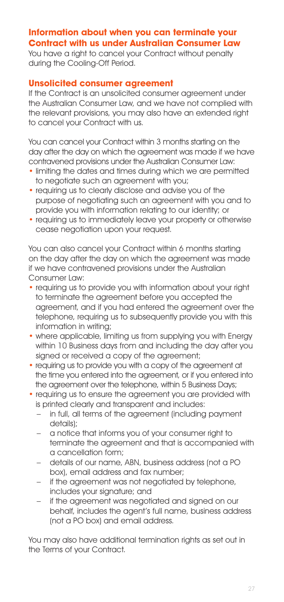# **Information about when you can terminate your Contract with us under Australian Consumer Law**

You have a right to cancel your Contract without penalty during the Cooling-Off Period.

#### **Unsolicited consumer agreement**

If the Contract is an unsolicited consumer agreement under the Australian Consumer Law, and we have not complied with the relevant provisions, you may also have an extended right to cancel your Contract with us.

You can cancel your Contract within 3 months starting on the day after the day on which the agreement was made if we have contravened provisions under the Australian Consumer Law:

- limiting the dates and times during which we are permitted to negotiate such an agreement with you;
- requiring us to clearly disclose and advise you of the purpose of negotiating such an agreement with you and to provide you with information relating to our identity; or
- requiring us to immediately leave your property or otherwise cease negotiation upon your request.

You can also cancel your Contract within 6 months starting on the day after the day on which the agreement was made if we have contravened provisions under the Australian Consumer Law:

- requiring us to provide you with information about your right to terminate the agreement before you accepted the agreement, and if you had entered the agreement over the telephone, requiring us to subsequently provide you with this information in writing;
- where applicable, limiting us from supplying you with Energy within 10 Business days from and including the day after you signed or received a copy of the agreement;
- requiring us to provide you with a copy of the agreement at the time you entered into the agreement, or if you entered into the agreement over the telephone, within 5 Business Days;
- requiring us to ensure the agreement you are provided with is printed clearly and transparent and includes:
	- in full, all terms of the agreement (including payment details);
	- a notice that informs you of your consumer right to terminate the agreement and that is accompanied with a cancellation form;
	- details of our name, ABN, business address (not a PO box), email address and fax number;
	- if the agreement was not negotiated by telephone, includes your signature; and
	- if the agreement was negotiated and signed on our behalf, includes the agent's full name, business address (not a PO box) and email address.

You may also have additional termination rights as set out in the Terms of your Contract.